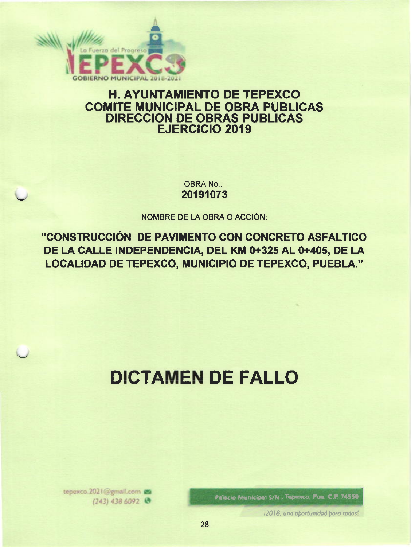

# **H. AYUNTAMIENTO DE TEPEXCO COMITE MUNICIPAL DE OBRA PÚBLICAS DIRECCION DE OBRAS PUBLICAS EJERCICIO 2019**

**OBRA No.:** 20191073

**NOMBRE DE LA OBRA O ACCIÓN:** 

"CONSTRUCCIÓN DE PAVIMENTO CON CONCRETO ASFALTICO DE LA CALLE INDEPENDENCIA, DEL KM 0+325 AL 0+405, DE LA LOCALIDAD DE TEPEXCO, MUNICIPIO DE TEPEXCO, PUEBLA."

# **DICTAMEN DE FALLO**

Palacio Municipal S/N. Tepesco, Pue. C.P. 74550

12018, una oportunidad para todos!

tepexco.2021@gmail.com (243) 438 6092 @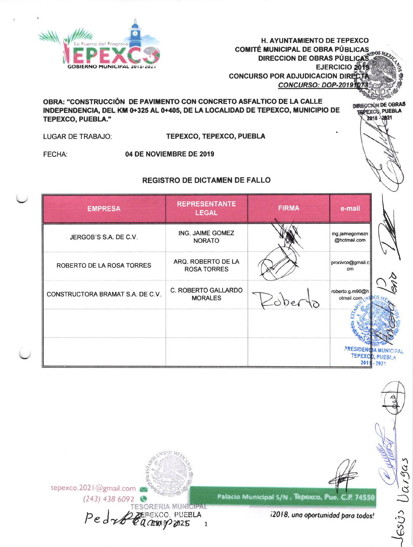

**H. AYUNTAMIENTO DE TEPEXCO COMITÉ MUNICIPAL DE OBRA PÚBLICAS DIRECCION DE OBRAS PÚBLICAS** EJERCICIO 2019 **CONCURSO POR ADJUDICACION DIRECTO** CONCURSO: DOP-20191073

DIRECCIÓN DE OBRAS

2018 - 2021

# OBRA: "CONSTRUCCIÓN DE PAVIMENTO CON CONCRETO ASFALTICO DE LA CALLE INDEPENDENCIA, DEL KM 0+325 AL 0+405, DE LA LOCALIDAD DE TEPEXCO, MUNICIPIO DE **TEPEXCO, PUEBLA."**

**LUGAR DE TRABAJO:** 

**TEPEXCO, TEPEXCO, PUEBLA** 

FECHA:

04 DE NOVIEMBRE DE 2019

# **REGISTRO DE DICTAMEN DE FALLO**

| <b>EMPRESA</b>                   | <b>REPRESENTANTE</b><br><b>LEGAL</b>         | <b>FIRMA</b> | e-mail                          |                                 |
|----------------------------------|----------------------------------------------|--------------|---------------------------------|---------------------------------|
| JERGOB'S S.A. DE C.V.            | ING. JAIME GOMEZ<br><b>NORATO</b>            |              | ing.jaimegomezn<br>@hotmail.com |                                 |
| ROBERTO DE LA ROSA TORRES        | ARQ. ROBERTO DE LA<br><b>ROSA TORRES</b>     |              | procivco@gmail.c<br>om.         |                                 |
| CONSTRUCTORA BRAMAT S.A. DE C.V. | <b>C. ROBERTO GALLARDO</b><br><b>MORALES</b> |              | roberto.g.m90@h<br>otmail.com   |                                 |
|                                  |                                              |              |                                 |                                 |
|                                  |                                              |              | <b>PRESIDENCIA MUNICIP</b>      | TEPEXCD, PUEBLA<br>$201 - 2021$ |

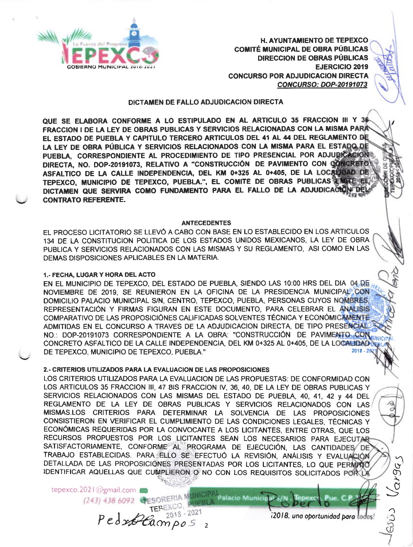

**H. AYUNTAMIENTO DE TEPEXCO COMITÉ MUNICIPAL DE OBRA PÚBLICAS DIRECCION DE OBRAS PÚBLICAS EJERCICIO 2019 CONCURSO POR ADJUDICACION DIRECTA CONCURSO: DOP-20191073** 

# DICTAMEN DE FALLO ADJUDICACIÓN DIRECTA

QUE SE ELABORA CONFORME A LO ESTIPULADO EN AL ARTICULO 35 FRACCION III Y 36 FRACCION I DE LA LEY DE OBRAS PUBLICAS Y SERVICIOS RELACIONADAS CON LA MISMA PARA EL ESTADO DE PUEBLA Y CAPITULO TERCERO ARTICULOS DEL 41 AL 44 DEL REGLAMENTO DE LA LEY DE OBRA PÚBLICA Y SERVICIOS RELACIONADOS CON LA MISMA PARA EL ESTADO DE PUEBLA, CORRESPONDIENTE AL PROCEDIMIENTO DE TIPO PRESENCIAL POR ADJUDICACION DIRECTA, NO. DOP-20191073, RELATIVO A "CONSTRUCCIÓN DE PAVIMENTO CON CONCRETO ASFALTICO DE LA CALLE INDEPENDENCIA, DEL KM 0+325 AL 0+405, DE LA LOC8000AD DE TEPEXCO. MUNICIPIO DE TEPEXCO, PUEBLA.", EL COMITE DE OBRAS PUBLICAS EMITE EL DICTAMEN QUE SERVIRA COMO FUNDAMENTO PARA EL FALLO DE LA ADJUDICACION DEI **CONTRATO REFERENTE.** 

#### **ANTECEDENTES**

EL PROCESO LICITATORIO SE LLEVÓ A CABO CON BASE EN LO ESTABLECIDO EN LOS ARTICULOS 134 DE LA CONSTITUCION POLITICA DE LOS ESTADOS UNIDOS MEXICANOS, LA LEY DE OBRA PUBLICA Y SERVICIOS RELACIONADOS CON LAS MISMAS Y SU REGLAMENTO, ASI COMO EN LAS DEMAS DISPOSICIONES APLICABLES EN LA MATERIA.

# 1.- FECHA, LUGAR Y HORA DEL ACTO

EN EL MUNICIPIO DE TEPEXCO, DEL ESTADO DE PUEBLA, SIENDO LAS 10:00 HRS DEL DIA 04.05 NOVIEMBRE DE 2019, SE REUNIERON EN LA OFICINA DE LA PRESIDENCIA MUNICIPAL CON DOMICILIO PALACIO MUNICIPAL S/N, CENTRO, TEPEXCO, PUEBLA, PERSONAS CUYOS NOMBRES, REPRESENTACIÓN Y FIRMAS FIGURAN EN ESTE DOCUMENTO, PARA CELEBRAR EL ANALISIS COMPARATIVO DE LAS PROPOSICIÓNES CALIFICADAS SOLVENTES TÉCNICA Y ECONÓMICAMENTE ADMITIDAS EN EL CONCURSO A TRAVES DE LA ADJUDICACION DIRECTA. DE TIPO PRESENCIAL NO.: DOP-20191073 CORRESPONDIENTE A LA OBRA: "CONSTRUCCIÓN DE PAVIMENTS CON CONCRETO ASFALTICO DE LA CALLE INDEPENDENCIA, DEL KM 0+325 AL 0+405, DE LA LOCALIDAD N DE TEPEXCO, MUNICIPIO DE TEPEXCO, PUEBLA."

# 2.- CRITERIOS UTILIZADOS PARA LA EVALUACIÓN DE LAS PROPOSICIONES

 $PedxB@ampo5$ 

2018 - 2021

LOS CRITERIOS UTILIZADOS PARA LA EVALUACION DE LAS PROPUESTAS: DE CONFORMIDAD CON LOS ARTICULOS 35 FRACCION III, 47 BIS FRACCION IV, 36, 40, DE LA LEY DE OBRAS PUBLICAS Y SERVICIOS RELACIONADOS CON LAS MISMAS DEL ESTADO DE PUEBLA, 40, 41, 42 y 44 DEL REGLAMENTO DE LA LEY DE OBRAS PUBLICAS Y SERVICIOS RELACIONADOS CON LAS MISMAS.LOS CRITERIOS PARA DETERMINAR LA SOLVENCIA DE LAS PROPOSICIONES CONSISTIERON EN VERIFICAR EL CUMPLIMIENTO DE LAS CONDICIONES LEGALES, TÉCNICAS Y ECONÓMICAS REQUERIDAS POR LA CONVOCANTE A LOS LICITANTES, ENTRE OTRAS, QUE LOS RECURSOS PROPUESTOS POR LOS LICITANTES SEAN LOS NECESARIOS PARA EJECUTAR SATISFACTORIAMENTE, CONFORME AL PROGRAMA DE EJECUCIÓN, LAS CANTIDADES DE TRABAJO ESTABLECIDAS. PARA ELLO SE EFECTUÓ LA REVISIÓN, ANÁLISIS Y EVALUACIÓN DETALLADA DE LAS PROPOSICIONES PRESENTADAS POR LOS LICITANTES, LO QUE PERMINO IDENTIFICAR AQUELLAS QUE CUMPLIERON O NO CON LOS REQUISITOS SOLICITADOS POR LA

Palacio Municipal S/N.

tepexco.2021@gmail.com (243) 438 6092 CESORERIA MUNICIPAL

12018, una oportunidad para todos!

Pue. C.P

Tenexco

BUD Varga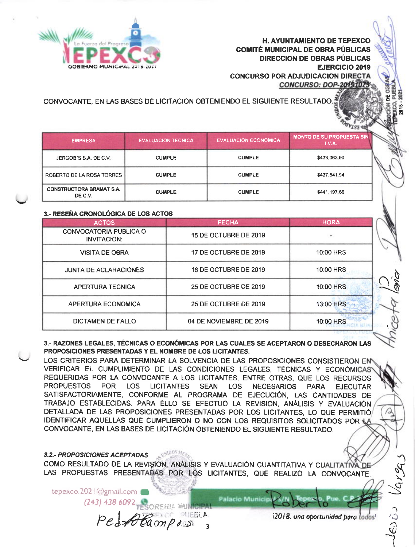**H. AYUNTAMIENTO DE TEPEXCO COMITÉ MUNICIPAL DE OBRA PÚBLICAS DIRECCION DE OBRAS PÚBLICAS EJERCICIO 2019 CONCURSO POR ADJUDICACION DIRECTA** 

**CONCURSO: DOP-2019107** 



CONVOCANTE, EN LAS BASES DE LICITACIÓN OBTENIENDO EL SIGUIENTE RESULTADO.

| <b>EMPRESA</b>                             | <b>EVALUACION TECNICA</b> | <b>EVALUACION ECONOMICA</b> | <b>MONTO DE SU PROPUESTA SIN</b><br>I.V.A. |
|--------------------------------------------|---------------------------|-----------------------------|--------------------------------------------|
| JERGOB'S S.A. DE C.V.                      | <b>CUMPLE</b>             | <b>CUMPLE</b>               | \$433,063.90                               |
| ROBERTO DE LA ROSA TORRES                  | <b>CUMPLE</b>             | <b>CUMPLE</b>               | \$437,541,94                               |
| <b>CONSTRUCTORA BRAMAT S.A.</b><br>DE C.V. | <b>CUMPLE</b>             | <b>CUMPLE</b>               | \$441,197,66                               |

# 3.- RESEÑA CRONOLÓGICA DE LOS ACTOS

| <b>ACTOS</b>                                        | <b>FECHA</b>            | <b>HORA</b> |
|-----------------------------------------------------|-------------------------|-------------|
| <b>CONVOCATORIA PUBLICA O</b><br><b>INVITACION:</b> | 15 DE OCTUBRE DE 2019   |             |
| <b>VISITA DE OBRA</b>                               | 17 DE OCTUBRE DE 2019   | 10:00 HRS   |
| <b>JUNTA DE ACLARACIONES</b>                        | 18 DE OCTUBRE DE 2019   | 10:00 HRS   |
| APERTURA TECNICA                                    | 25 DE OCTUBRE DE 2019   | 10:00 HRS   |
| <b>APERTURA ECONOMICA</b>                           | 25 DE OCTUBRE DE 2019   | 13:00 HRS   |
| <b>DICTAMEN DE FALLO</b>                            | 04 DE NOVIEMBRE DE 2019 | 10:00 HRS   |

3.- RAZONES LEGALES, TÉCNICAS O ECONÓMICAS POR LAS CUALES SE ACEPTARON O DESECHARON LAS PROPOSICIONES PRESENTADAS Y EL NOMBRE DE LOS LICITANTES.

LOS CRITERIOS PARA DETERMINAR LA SOLVENCIA DE LAS PROPOSICIONES CONSISTIERON EN VERIFICAR EL CUMPLIMIENTO DE LAS CONDICIONES LEGALES, TÉCNICAS Y ECONÓMICAS REQUERIDAS POR LA CONVOCANTE A LOS LICITANTES, ENTRE OTRAS, QUE LOS RECURSOS **LICITANTES PROPUESTOS** POR LOS SEAN LOS NECESARIOS PARA **EJECUTAR** SATISFACTORIAMENTE, CONFORME AL PROGRAMA DE EJECUCIÓN, LAS CANTIDADES DE TRABAJO ESTABLECIDAS. PARA ELLO SE EFECTUÓ LA REVISIÓN, ANÁLISIS Y EVALUACIÓN DETALLADA DE LAS PROPOSICIONES PRESENTADAS POR LOS LICITANTES. LO QUE PERMITIÓ IDENTIFICAR AQUELLAS QUE CUMPLIERON O NO CON LOS REQUISITOS SOLICITADOS POR L CONVOCANTE, EN LAS BASES DE LICITACIÓN OBTENIENDO EL SIGUIENTE RESULTADO.

# **3.2.- PROPOSICIONES ACEPTADAS**

COMO RESULTADO DE LA REVISIÓN, ANÁLISIS Y EVALUACIÓN CUANTITATIVA Y CUALITATIVA DE LAS PROPUESTAS PRESENTADAS POR LOS LICITANTES, QUE REALIZÓ LA CONVOCANTE,

tepexco.2021@gmail.com **Palacio Municip**  $(243)$  438 6092 Ped Blampos

**ALERIA** 

12018, una oportunidad para todos

Ω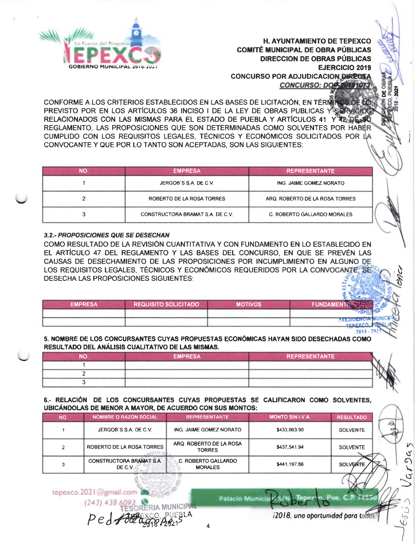

**H. AYUNTAMIENTO DE TEPEXCO COMITÉ MUNICIPAL DE OBRA PÚBLICAS DIRECCION DE OBRAS PÚBLICAS EJERCICIO 2019 CONCURSO POR ADJUDICACION DIRECT.** CONCURSO: DOC 201910

CONFORME A LOS CRITERIOS ESTABLECIDOS EN LAS BASES DE LICITACIÓN. EN TÉRMI PREVISTO POR EN LOS ARTÍCULOS 36 INCISO I DE LA LEY DE OBRAS PUBLICAS Y SERVICIO RELACIONADOS CON LAS MISMAS PARA EL ESTADO DE PUEBLA Y ARTÍCULOS 41 Y APLIDE. REGLAMENTO. LAS PROPOSICIONES QUE SON DETERMINADAS COMO SOLVENTES POR HABER CUMPLIDO CON LOS REQUISITOS LEGALES, TÉCNICOS Y ECONÓMICOS SOLICITADOS POR LA CONVOCANTE Y QUE POR LO TANTO SON ACEPTADAS, SON LAS SIGUIENTES:

| NO. | <b>EMPRESA</b>                   | <b>REPRESENTANTE</b>           |
|-----|----------------------------------|--------------------------------|
|     | JERGOB'S S.A. DE C.V.            | ING. JAIME GOMEZ NORATO        |
|     | ROBERTO DE LA ROSA TORRES        | ARQ. ROBERTO DE LA ROSA TORRES |
| 3   | CONSTRUCTORA BRAMAT S.A. DE C.V. | C. ROBERTO GALLARDO MORALES    |

# 3.2.- PROPOSICIONES QUE SE DESECHAN

COMO RESULTADO DE LA REVISIÓN CUANTITATIVA Y CON FUNDAMENTO EN LO ESTABLECIDO EN EL ARTÍCULO 47 DEL REGLAMENTO Y LAS BASES DEL CONCURSO. EN QUE SE PREVÉN LAS CAUSAS DE DESECHAMIENTO DE LAS PROPOSICIONES POR INCUMPLIMIENTO EN ALGUNO DE LOS REQUISITOS LEGALES. TÉCNICOS Y ECONÓMICOS REQUERIDOS POR LA CONVOCANTE. SE DESECHA LAS PROPOSICIONES SIGUIENTES:

| <b>FUNDAMENTO</b> | <b>MOTIVOS</b> | <b>REQUISITO SOLICITADO</b> | EMPRESA |
|-------------------|----------------|-----------------------------|---------|
|                   |                |                             |         |
| <b>PRESIDENUM</b> |                |                             |         |

#### 5. NOMBRE DE LOS CONCURSANTES CUYAS PROPUESTAS ECONÓMICAS HAYAN SIDO DESECHADAS COMO RESULTADO DEL ANÁLISIS CUALITATIVO DE LAS MISMAS.

| ΝO | <b>EMPRESA</b> | <b>REPRESENTANTE</b> |  |
|----|----------------|----------------------|--|
|    |                |                      |  |
|    |                |                      |  |
|    |                |                      |  |

## 6.- RELACIÓN DE LOS CONCURSANTES CUYAS PROPUESTAS SE CALIFICARON COMO SOLVENTES. UBICÁNDOLAS DE MENOR A MAYOR, DE ACUERDO CON SUS MONTOS:

| NO. | <b>NOMBRE O RAZON SOCIAL</b>               | <b>REPRESENTANTE</b>                         | <b>MONTO SIN I.V A.</b> | <b>RESULTADO</b> |
|-----|--------------------------------------------|----------------------------------------------|-------------------------|------------------|
|     | JERGOB'S S.A. DE C.V.                      | ING. JAIME GOMEZ NORATO                      | \$433,063,90            | <b>SOLVENTE</b>  |
|     | ROBERTO DE LA ROSA TORRES                  | ARQ. ROBERTO DE LA ROSA<br><b>TORRES</b>     | \$437,541.94            | <b>SOLVENTE</b>  |
|     | <b>CONSTRUCTORA BRAMAT S.A.</b><br>DE C.V. | <b>C. ROBERTO GALLARDO</b><br><b>MORALES</b> | \$441,197.66            | <b>SOLVENTE</b>  |

**Palacio Municip** 

tepexco.2021@gmail.cor  $(243)$  438

i2018, una aportunidad para todo

 $\overline{\mathbf{A}}$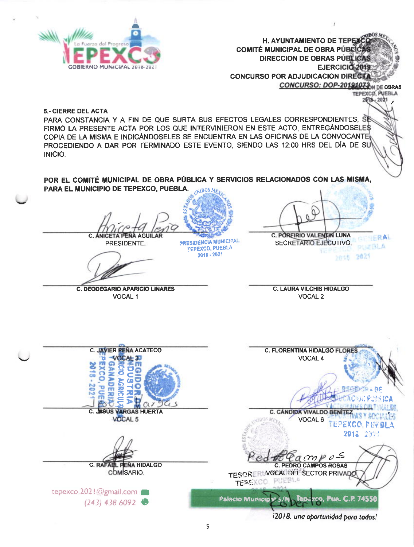

H. AYUNTAMIENTO DE TEPEX **COMITÉ MUNICIPAL DE OBRA PÚBLIC DIRECCION DE OBRAS PÚBLICAS** EJERCICIO 2019 **CONCURSO POR ADJUDICACION DIRECT/** CONCURSO: DOP-20191073 N DE OBRAS

**TEPEXCO, PUEBLA 2618 - 2021** 

**5.- CIERRE DEL ACTA** 

PARA CONSTANCIA Y A FIN DE QUE SURTA SUS EFECTOS LEGALES CORRESPONDIENTES. SE FIRMÓ LA PRESENTE ACTA POR LOS QUE INTERVINIERON EN ESTE ACTO, ENTREGÁNDOSELES COPIA DE LA MISMA E INDICÁNDOSELES SE ENCUENTRA EN LAS OFICINAS DE LA CONVOCANTE PROCEDIENDO A DAR POR TERMINADO ESTE EVENTO, SIENDO LAS 12:00 HRS DEL DÍA DE SU INICIO.

POR EL COMITÉ MUNICIPAL DE OBRA PÚBLICA Y SERVICIOS RELACIONADOS CON LAS MISMA, PARA EL MUNICIPIO DE TEPEXCO, PUEBLA. WIDOS M

**C. ÁNICETA PEÑA AGUILA** PRESIDENTE.

**PRESIDENCIA MUNICIPAL** TEPEXCO, PUEBLA 2018 - 2021

C. POREIRIO VALENTIN LUNA **FRAL** SECRETARIO EJECUTIVO. **DELETAL A** 2021  $2615$ 

**C. DEODEGARIO APARICIO LINARES** VOCAL 1

**C. LAURA VILCHIS HIDALGO** VOCAL 2



12018, una oportunidad para todos!